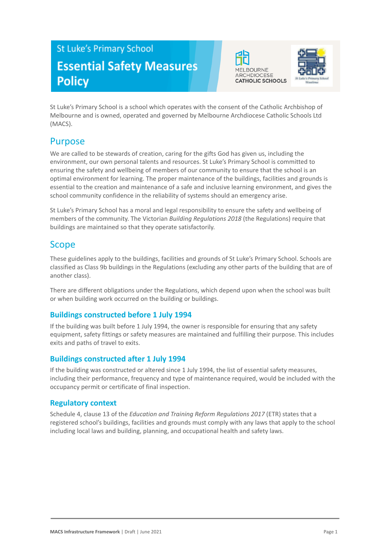# **St Luke's Primary School Essential Safety Measures Policy**





St Luke's Primary School is a school which operates with the consent of the Catholic Archbishop of Melbourne and is owned, operated and governed by Melbourne Archdiocese Catholic Schools Ltd (MACS).

## Purpose

We are called to be stewards of creation, caring for the gifts God has given us, including the environment, our own personal talents and resources. St Luke's Primary School is committed to ensuring the safety and wellbeing of members of our community to ensure that the school is an optimal environment for learning. The proper maintenance of the buildings, facilities and grounds is essential to the creation and maintenance of a safe and inclusive learning environment, and gives the school community confidence in the reliability of systems should an emergency arise.

St Luke's Primary School has a moral and legal responsibility to ensure the safety and wellbeing of members of the community. The Victorian *Building Regulations 2018* (the Regulations) require that buildings are maintained so that they operate satisfactorily.

### Scope

These guidelines apply to the buildings, facilities and grounds of St Luke's Primary School. Schools are classified as Class 9b buildings in the Regulations (excluding any other parts of the building that are of another class).

There are different obligations under the Regulations, which depend upon when the school was built or when building work occurred on the building or buildings.

### **Buildings constructed before 1 July 1994**

If the building was built before 1 July 1994, the owner is responsible for ensuring that any safety equipment, safety fittings or safety measures are maintained and fulfilling their purpose. This includes exits and paths of travel to exits.

### **Buildings constructed after 1 July 1994**

If the building was constructed or altered since 1 July 1994, the list of essential safety measures, including their performance, frequency and type of maintenance required, would be included with the occupancy permit or certificate of final inspection.

### **Regulatory context**

Schedule 4, clause 13 of the *Education and Training Reform Regulations 2017* (ETR) states that a registered school's buildings, facilities and grounds must comply with any laws that apply to the school including local laws and building, planning, and occupational health and safety laws.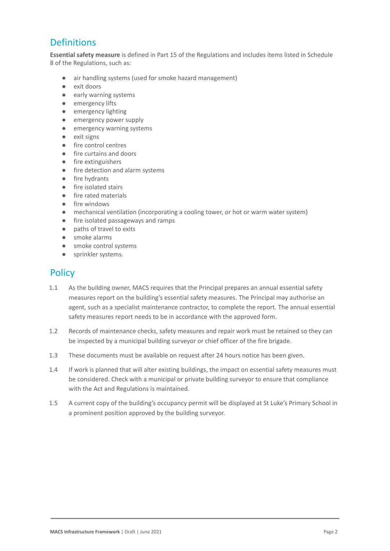# **Definitions**

**Essential safety measure** is defined in Part 15 of the Regulations and includes items listed in Schedule 8 of the Regulations, such as:

- air handling systems (used for smoke hazard management)
- exit doors
- early warning systems
- emergency lifts
- emergency lighting
- emergency power supply
- emergency warning systems
- exit signs
- fire control centres
- fire curtains and doors
- fire extinguishers
- fire detection and alarm systems
- fire hydrants
- fire isolated stairs
- fire rated materials
- fire windows
- mechanical ventilation (incorporating a cooling tower, or hot or warm water system)
- fire isolated passageways and ramps
- paths of travel to exits
- smoke alarms
- smoke control systems
- sprinkler systems.

### **Policy**

- 1.1 As the building owner, MACS requires that the Principal prepares an annual essential safety measures report on the building's essential safety measures. The Principal may authorise an agent, such as a specialist maintenance contractor, to complete the report. The annual essential safety measures report needs to be in accordance with the approved form.
- 1.2 Records of maintenance checks, safety measures and repair work must be retained so they can be inspected by a municipal building surveyor or chief officer of the fire brigade.
- 1.3 These documents must be available on request after 24 hours notice has been given.
- 1.4 If work is planned that will alter existing buildings, the impact on essential safety measures must be considered. Check with a municipal or private building surveyor to ensure that compliance with the Act and Regulations is maintained.
- 1.5 A current copy of the building's occupancy permit will be displayed at St Luke's Primary School in a prominent position approved by the building surveyor.